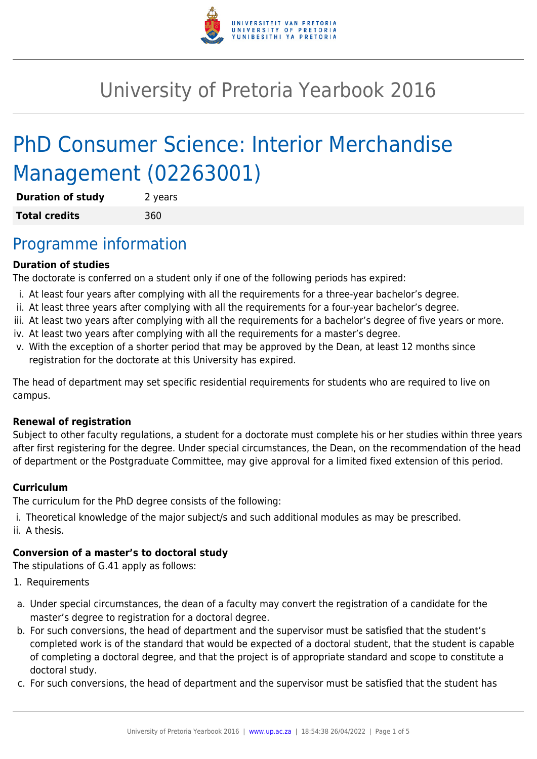

# University of Pretoria Yearbook 2016

# PhD Consumer Science: Interior Merchandise Management (02263001)

| <b>Duration of study</b> | 2 years |
|--------------------------|---------|
| <b>Total credits</b>     | 360     |

## Programme information

#### **Duration of studies**

The doctorate is conferred on a student only if one of the following periods has expired:

- i. At least four years after complying with all the requirements for a three-year bachelor's degree.
- ii. At least three years after complying with all the requirements for a four-year bachelor's degree.
- iii. At least two years after complying with all the requirements for a bachelor's degree of five years or more.
- iv. At least two years after complying with all the requirements for a master's degree.
- v. With the exception of a shorter period that may be approved by the Dean, at least 12 months since registration for the doctorate at this University has expired.

The head of department may set specific residential requirements for students who are required to live on campus.

#### **Renewal of registration**

Subject to other faculty regulations, a student for a doctorate must complete his or her studies within three years after first registering for the degree. Under special circumstances, the Dean, on the recommendation of the head of department or the Postgraduate Committee, may give approval for a limited fixed extension of this period.

#### **Curriculum**

The curriculum for the PhD degree consists of the following:

- i. Theoretical knowledge of the major subject/s and such additional modules as may be prescribed.
- ii. A thesis.

### **Conversion of a master's to doctoral study**

The stipulations of G.41 apply as follows:

- 1. Requirements
- a. Under special circumstances, the dean of a faculty may convert the registration of a candidate for the master's degree to registration for a doctoral degree.
- b. For such conversions, the head of department and the supervisor must be satisfied that the student's completed work is of the standard that would be expected of a doctoral student, that the student is capable of completing a doctoral degree, and that the project is of appropriate standard and scope to constitute a doctoral study.
- c. For such conversions, the head of department and the supervisor must be satisfied that the student has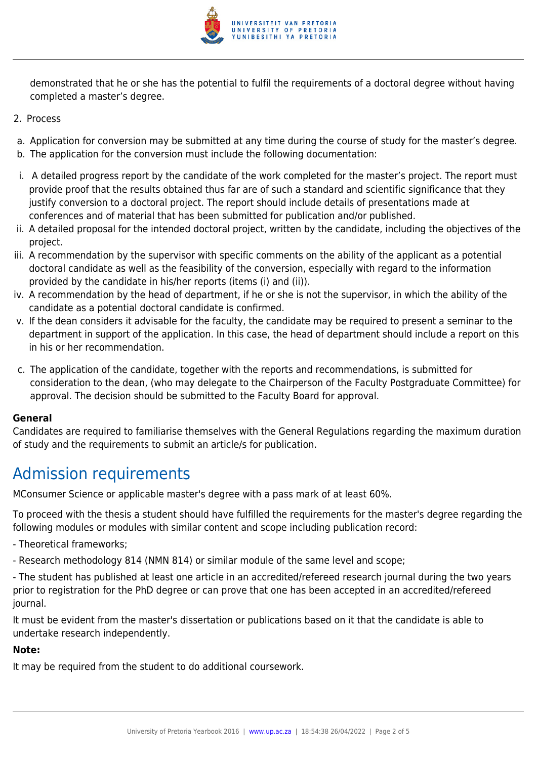

demonstrated that he or she has the potential to fulfil the requirements of a doctoral degree without having completed a master's degree.

- 2. Process
- a. Application for conversion may be submitted at any time during the course of study for the master's degree.
- b. The application for the conversion must include the following documentation:
- i. A detailed progress report by the candidate of the work completed for the master's project. The report must provide proof that the results obtained thus far are of such a standard and scientific significance that they justify conversion to a doctoral project. The report should include details of presentations made at conferences and of material that has been submitted for publication and/or published.
- ii. A detailed proposal for the intended doctoral project, written by the candidate, including the objectives of the project.
- iii. A recommendation by the supervisor with specific comments on the ability of the applicant as a potential doctoral candidate as well as the feasibility of the conversion, especially with regard to the information provided by the candidate in his/her reports (items (i) and (ii)).
- iv. A recommendation by the head of department, if he or she is not the supervisor, in which the ability of the candidate as a potential doctoral candidate is confirmed.
- v. If the dean considers it advisable for the faculty, the candidate may be required to present a seminar to the department in support of the application. In this case, the head of department should include a report on this in his or her recommendation.
- c. The application of the candidate, together with the reports and recommendations, is submitted for consideration to the dean, (who may delegate to the Chairperson of the Faculty Postgraduate Committee) for approval. The decision should be submitted to the Faculty Board for approval.

#### **General**

Candidates are required to familiarise themselves with the General Regulations regarding the maximum duration of study and the requirements to submit an article/s for publication.

# Admission requirements

MConsumer Science or applicable master's degree with a pass mark of at least 60%.

To proceed with the thesis a student should have fulfilled the requirements for the master's degree regarding the following modules or modules with similar content and scope including publication record:

- Theoretical frameworks;
- Research methodology 814 (NMN 814) or similar module of the same level and scope;
- The student has published at least one article in an accredited/refereed research journal during the two years prior to registration for the PhD degree or can prove that one has been accepted in an accredited/refereed journal.

It must be evident from the master's dissertation or publications based on it that the candidate is able to undertake research independently.

#### **Note:**

It may be required from the student to do additional coursework.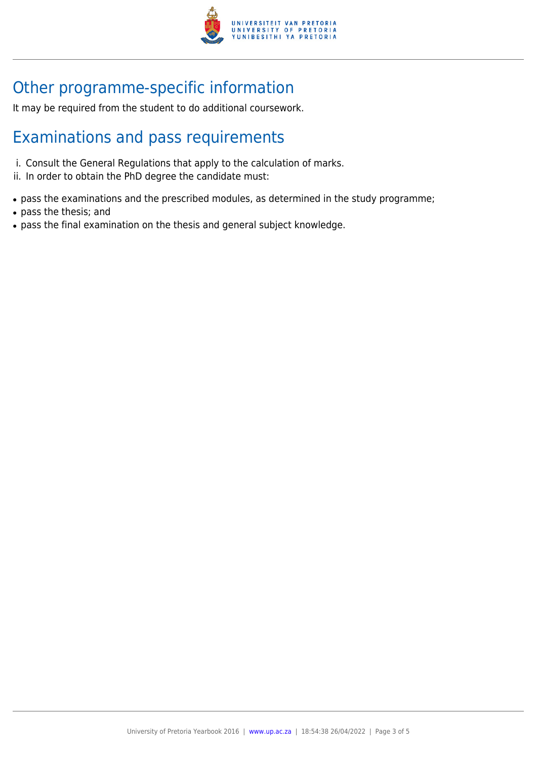

# Other programme-specific information

It may be required from the student to do additional coursework.

## Examinations and pass requirements

- i. Consult the General Regulations that apply to the calculation of marks.
- ii. In order to obtain the PhD degree the candidate must:
- pass the examinations and the prescribed modules, as determined in the study programme;
- pass the thesis; and
- pass the final examination on the thesis and general subject knowledge.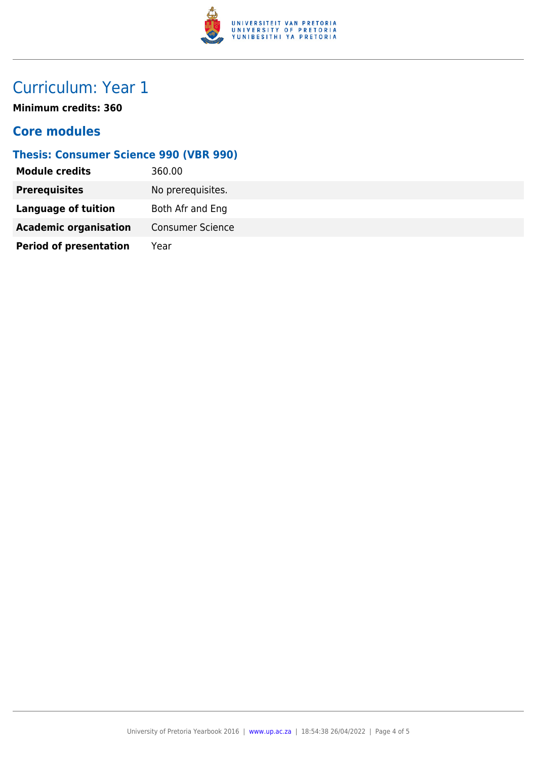

# Curriculum: Year 1

**Minimum credits: 360**

### **Core modules**

### **Thesis: Consumer Science 990 (VBR 990)**

| <b>Module credits</b>         | 360.00                  |
|-------------------------------|-------------------------|
| <b>Prerequisites</b>          | No prerequisites.       |
| <b>Language of tuition</b>    | Both Afr and Eng        |
| <b>Academic organisation</b>  | <b>Consumer Science</b> |
| <b>Period of presentation</b> | Year                    |